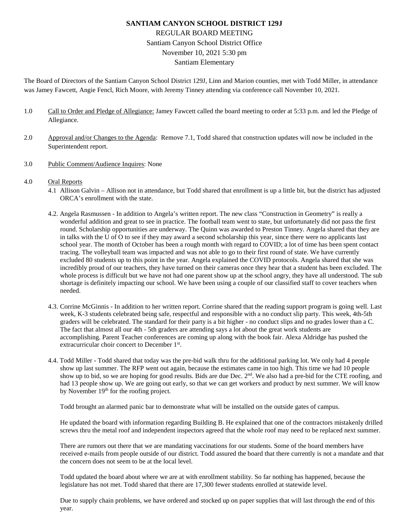# **SANTIAM CANYON SCHOOL DISTRICT 129J** REGULAR BOARD MEETING Santiam Canyon School District Office November 10, 2021 5:30 pm Santiam Elementary

The Board of Directors of the Santiam Canyon School District 129J, Linn and Marion counties, met with Todd Miller, in attendance was Jamey Fawcett, Angie Fencl, Rich Moore, with Jeremy Tinney attending via conference call November 10, 2021.

- 1.0 Call to Order and Pledge of Allegiance: Jamey Fawcett called the board meeting to order at 5:33 p.m. and led the Pledge of Allegiance.
- 2.0 Approval and/or Changes to the Agenda: Remove 7.1, Todd shared that construction updates will now be included in the Superintendent report.
- 3.0 Public Comment/Audience Inquires: None
- 4.0 Oral Reports
	- 4.1 Allison Galvin Allison not in attendance, but Todd shared that enrollment is up a little bit, but the district has adjusted ORCA's enrollment with the state.
	- 4.2. Angela Rasmussen In addition to Angela's written report. The new class "Construction in Geometry" is really a wonderful addition and great to see in practice. The football team went to state, but unfortunately did not pass the first round. Scholarship opportunities are underway. The Quinn was awarded to Preston Tinney. Angela shared that they are in talks with the U of O to see if they may award a second scholarship this year, since there were no applicants last school year. The month of October has been a rough month with regard to COVID; a lot of time has been spent contact tracing. The volleyball team was impacted and was not able to go to their first round of state. We have currently excluded 80 students up to this point in the year. Angela explained the COVID protocols. Angela shared that she was incredibly proud of our teachers, they have turned on their cameras once they hear that a student has been excluded. The whole process is difficult but we have not had one parent show up at the school angry, they have all understood. The sub shortage is definitely impacting our school. We have been using a couple of our classified staff to cover teachers when needed.
	- 4.3. Corrine McGinnis In addition to her written report. Corrine shared that the reading support program is going well. Last week, K-3 students celebrated being safe, respectful and responsible with a no conduct slip party. This week, 4th-5th graders will be celebrated. The standard for their party is a bit higher - no conduct slips and no grades lower than a C. The fact that almost all our 4th - 5th graders are attending says a lot about the great work students are accomplishing. Parent Teacher conferences are coming up along with the book fair. Alexa Aldridge has pushed the extracurricular choir concert to December 1st.
	- 4.4. Todd Miller Todd shared that today was the pre-bid walk thru for the additional parking lot. We only had 4 people show up last summer. The RFP went out again, because the estimates came in too high. This time we had 10 people show up to bid, so we are hoping for good results. Bids are due Dec.  $2<sup>nd</sup>$ . We also had a pre-bid for the CTE roofing, and had 13 people show up. We are going out early, so that we can get workers and product by next summer. We will know by November 19<sup>th</sup> for the roofing project.

Todd brought an alarmed panic bar to demonstrate what will be installed on the outside gates of campus.

He updated the board with information regarding Building B. He explained that one of the contractors mistakenly drilled screws thru the metal roof and independent inspectors agreed that the whole roof may need to be replaced next summer.

There are rumors out there that we are mandating vaccinations for our students. Some of the board members have received e-mails from people outside of our district. Todd assured the board that there currently is not a mandate and that the concern does not seem to be at the local level.

Todd updated the board about where we are at with enrollment stability. So far nothing has happened, because the legislature has not met. Todd shared that there are 17,300 fewer students enrolled at statewide level.

Due to supply chain problems, we have ordered and stocked up on paper supplies that will last through the end of this year.